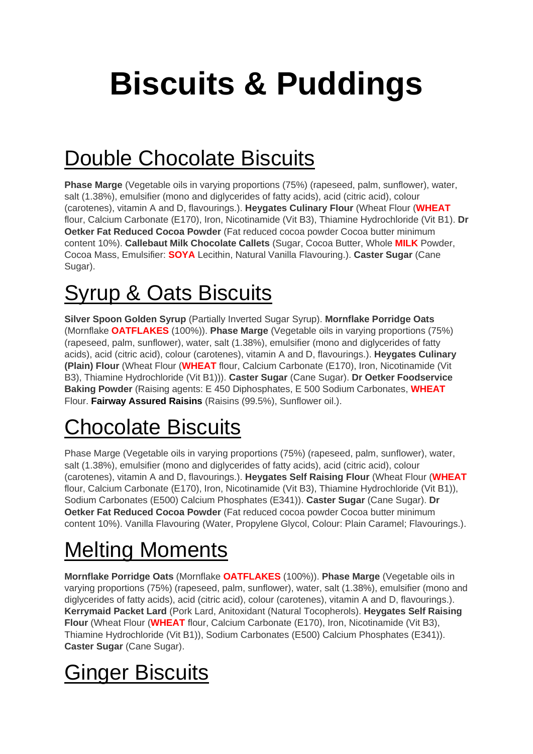# **Biscuits & Puddings**

## Double Chocolate Biscuits

**Phase Marge** (Vegetable oils in varying proportions (75%) (rapeseed, palm, sunflower), water, salt (1.38%), emulsifier (mono and diglycerides of fatty acids), acid (citric acid), colour (carotenes), vitamin A and D, flavourings.). **Heygates Culinary Flour** (Wheat Flour (**WHEAT** flour, Calcium Carbonate (E170), Iron, Nicotinamide (Vit B3), Thiamine Hydrochloride (Vit B1). **Dr Oetker Fat Reduced Cocoa Powder** (Fat reduced cocoa powder Cocoa butter minimum content 10%). **Callebaut Milk Chocolate Callets** (Sugar, Cocoa Butter, Whole **MILK** Powder, Cocoa Mass, Emulsifier: **SOYA** Lecithin, Natural Vanilla Flavouring.). **Caster Sugar** (Cane Sugar).

#### Syrup & Oats Biscuits

**Silver Spoon Golden Syrup** (Partially Inverted Sugar Syrup). **Mornflake Porridge Oats** (Mornflake **OATFLAKES** (100%)). **Phase Marge** (Vegetable oils in varying proportions (75%) (rapeseed, palm, sunflower), water, salt (1.38%), emulsifier (mono and diglycerides of fatty acids), acid (citric acid), colour (carotenes), vitamin A and D, flavourings.). **Heygates Culinary (Plain) Flour** (Wheat Flour (**WHEAT** flour, Calcium Carbonate (E170), Iron, Nicotinamide (Vit B3), Thiamine Hydrochloride (Vit B1))). **Caster Sugar** (Cane Sugar). **Dr Oetker Foodservice Baking Powder** (Raising agents: E 450 Diphosphates, E 500 Sodium Carbonates, **WHEAT**  Flour. **Fairway Assured Raisins** (Raisins (99.5%), Sunflower oil.).

#### Chocolate Biscuits

Phase Marge (Vegetable oils in varying proportions (75%) (rapeseed, palm, sunflower), water, salt (1.38%), emulsifier (mono and diglycerides of fatty acids), acid (citric acid), colour (carotenes), vitamin A and D, flavourings.). **Heygates Self Raising Flour** (Wheat Flour (**WHEAT** flour, Calcium Carbonate (E170), Iron, Nicotinamide (Vit B3), Thiamine Hydrochloride (Vit B1)), Sodium Carbonates (E500) Calcium Phosphates (E341)). **Caster Sugar** (Cane Sugar). **Dr Oetker Fat Reduced Cocoa Powder** (Fat reduced cocoa powder Cocoa butter minimum content 10%). Vanilla Flavouring (Water, Propylene Glycol, Colour: Plain Caramel; Flavourings.).

#### Melting Moments

**Mornflake Porridge Oats** (Mornflake **OATFLAKES** (100%)). **Phase Marge** (Vegetable oils in varying proportions (75%) (rapeseed, palm, sunflower), water, salt (1.38%), emulsifier (mono and diglycerides of fatty acids), acid (citric acid), colour (carotenes), vitamin A and D, flavourings.). **Kerrymaid Packet Lard** (Pork Lard, Anitoxidant (Natural Tocopherols). **Heygates Self Raising Flour** (Wheat Flour (**WHEAT** flour, Calcium Carbonate (E170), Iron, Nicotinamide (Vit B3), Thiamine Hydrochloride (Vit B1)), Sodium Carbonates (E500) Calcium Phosphates (E341)). **Caster Sugar** (Cane Sugar).

## Ginger Biscuits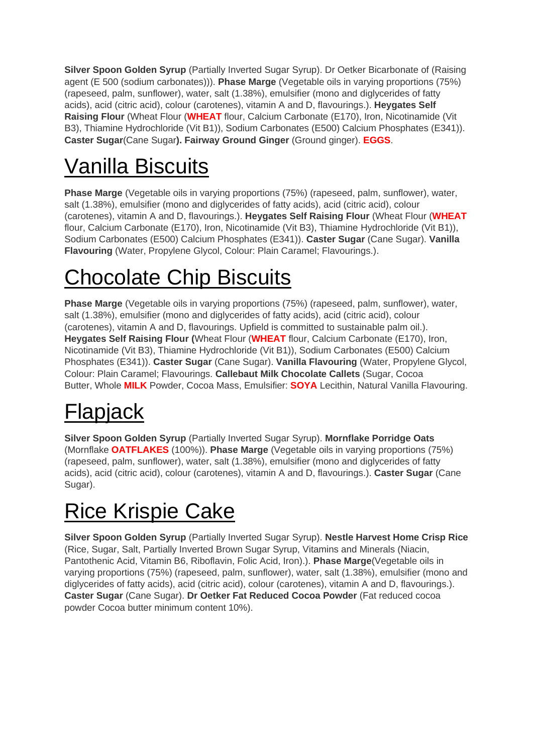**Silver Spoon Golden Syrup** (Partially Inverted Sugar Syrup). Dr Oetker Bicarbonate of (Raising agent (E 500 (sodium carbonates))). **Phase Marge** (Vegetable oils in varying proportions (75%) (rapeseed, palm, sunflower), water, salt (1.38%), emulsifier (mono and diglycerides of fatty acids), acid (citric acid), colour (carotenes), vitamin A and D, flavourings.). **Heygates Self Raising Flour** (Wheat Flour (**WHEAT** flour, Calcium Carbonate (E170), Iron, Nicotinamide (Vit B3), Thiamine Hydrochloride (Vit B1)), Sodium Carbonates (E500) Calcium Phosphates (E341)). **Caster Sugar**(Cane Sugar**). Fairway Ground Ginger** (Ground ginger). **EGGS**.

## Vanilla Biscuits

**Phase Marge** (Vegetable oils in varying proportions (75%) (rapeseed, palm, sunflower), water, salt (1.38%), emulsifier (mono and diglycerides of fatty acids), acid (citric acid), colour (carotenes), vitamin A and D, flavourings.). **Heygates Self Raising Flour** (Wheat Flour (**WHEAT** flour, Calcium Carbonate (E170), Iron, Nicotinamide (Vit B3), Thiamine Hydrochloride (Vit B1)), Sodium Carbonates (E500) Calcium Phosphates (E341)). **Caster Sugar** (Cane Sugar). **Vanilla Flavouring** (Water, Propylene Glycol, Colour: Plain Caramel; Flavourings.).

## Chocolate Chip Biscuits

**Phase Marge** (Vegetable oils in varying proportions (75%) (rapeseed, palm, sunflower), water, salt (1.38%), emulsifier (mono and diglycerides of fatty acids), acid (citric acid), colour (carotenes), vitamin A and D, flavourings. Upfield is committed to sustainable palm oil.). **Heygates Self Raising Flour (**Wheat Flour (**WHEAT** flour, Calcium Carbonate (E170), Iron, Nicotinamide (Vit B3), Thiamine Hydrochloride (Vit B1)), Sodium Carbonates (E500) Calcium Phosphates (E341)). **Caster Sugar** (Cane Sugar). **Vanilla Flavouring** (Water, Propylene Glycol, Colour: Plain Caramel; Flavourings. **Callebaut Milk Chocolate Callets** (Sugar, Cocoa Butter, Whole **MILK** Powder, Cocoa Mass, Emulsifier: **SOYA** Lecithin, Natural Vanilla Flavouring.

## Flapjack

**Silver Spoon Golden Syrup** (Partially Inverted Sugar Syrup). **Mornflake Porridge Oats** (Mornflake **OATFLAKES** (100%)). **Phase Marge** (Vegetable oils in varying proportions (75%) (rapeseed, palm, sunflower), water, salt (1.38%), emulsifier (mono and diglycerides of fatty acids), acid (citric acid), colour (carotenes), vitamin A and D, flavourings.). **Caster Sugar** (Cane Sugar).

## Rice Krispie Cake

**Silver Spoon Golden Syrup** (Partially Inverted Sugar Syrup). **Nestle Harvest Home Crisp Rice** (Rice, Sugar, Salt, Partially Inverted Brown Sugar Syrup, Vitamins and Minerals (Niacin, Pantothenic Acid, Vitamin B6, Riboflavin, Folic Acid, Iron).). **Phase Marge**(Vegetable oils in varying proportions (75%) (rapeseed, palm, sunflower), water, salt (1.38%), emulsifier (mono and diglycerides of fatty acids), acid (citric acid), colour (carotenes), vitamin A and D, flavourings.). **Caster Sugar** (Cane Sugar). **Dr Oetker Fat Reduced Cocoa Powder** (Fat reduced cocoa powder Cocoa butter minimum content 10%).